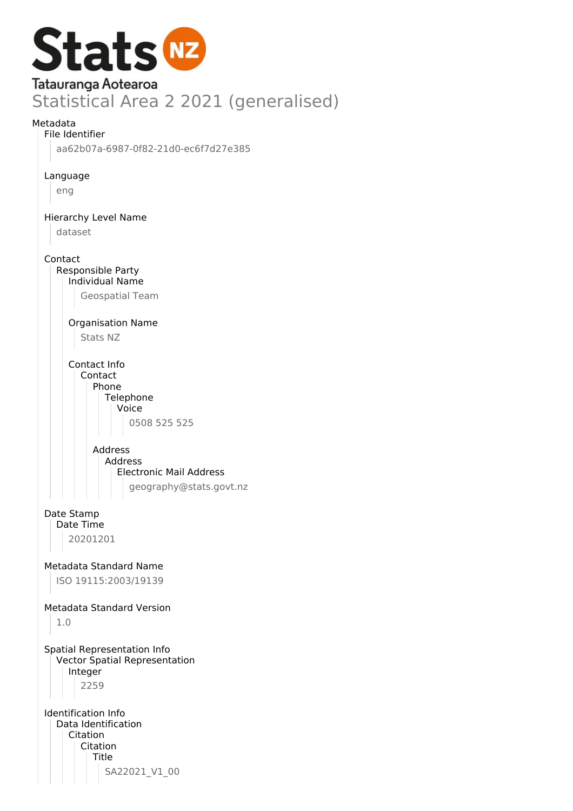

#### Metadata

File Identifier

aa62b07a-6987-0f82-21d0-ec6f7d27e385

Language

eng

Hierarchy Level Name

dataset

Contact

Responsible Party Individual Name

Geospatial Team

Organisation Name

Stats NZ

Contact Info Contact Phone **Telephone** Voice 0508 525 525

> Address Address Electronic Mail Address geography@stats.govt.nz

#### Date Stamp Date Time

20201201

Metadata Standard Name

ISO 19115:2003/19139

#### Metadata Standard Version

1.0

Spatial Representation Info Vector Spatial Representation Integer 2259

Identification Info Data Identification Citation Citation Title SA22021\_V1\_00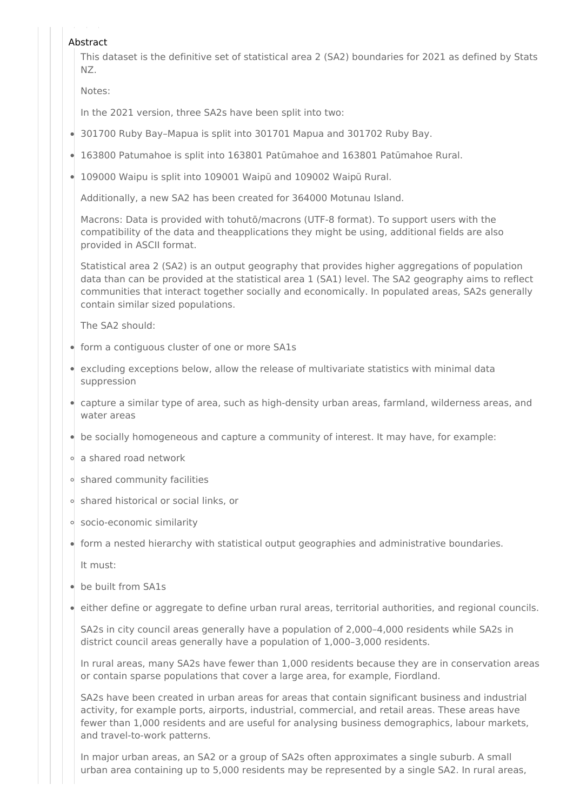#### Abstract

This dataset is the definitive set of statistical area 2 (SA2) boundaries for 2021 as defined by Stats NZ.

Notes:

In the 2021 version, three SA2s have been split into two:

- 301700 Ruby Bay–Mapua is split into 301701 Mapua and 301702 Ruby Bay.
- 163800 Patumahoe is split into 163801 Patūmahoe and 163801 Patūmahoe Rural.
- 109000 Waipu is split into 109001 Waipū and 109002 Waipū Rural.

Additionally, a new SA2 has been created for 364000 Motunau Island.

Macrons: Data is provided with tohutō/macrons (UTF-8 format). To support users with the compatibility of the data and theapplications they might be using, additional fields are also provided in ASCII format.

Statistical area 2 (SA2) is an output geography that provides higher aggregations of population data than can be provided at the statistical area 1 (SA1) level. The SA2 geography aims to reflect communities that interact together socially and economically. In populated areas, SA2s generally contain similar sized populations.

The SA2 should:

- form a contiguous cluster of one or more SA1s
- excluding exceptions below, allow the release of multivariate statistics with minimal data suppression
- capture a similar type of area, such as high-density urban areas, farmland, wilderness areas, and water areas
- be socially homogeneous and capture a community of interest. It may have, for example:
- a shared road network
- shared community facilities
- shared historical or social links, or
- socio-economic similarity
- form a nested hierarchy with statistical output geographies and administrative boundaries. It must:
- be built from SA1s
- either define or aggregate to define urban rural areas, territorial authorities, and regional councils.

SA2s in city council areas generally have a population of 2,000–4,000 residents while SA2s in district council areas generally have a population of 1,000–3,000 residents.

In rural areas, many SA2s have fewer than 1,000 residents because they are in conservation areas or contain sparse populations that cover a large area, for example, Fiordland.

SA2s have been created in urban areas for areas that contain significant business and industrial activity, for example ports, airports, industrial, commercial, and retail areas. These areas have fewer than 1,000 residents and are useful for analysing business demographics, labour markets, and travel-to-work patterns.

In major urban areas, an SA2 or a group of SA2s often approximates a single suburb. A small urban area containing up to 5,000 residents may be represented by a single SA2. In rural areas,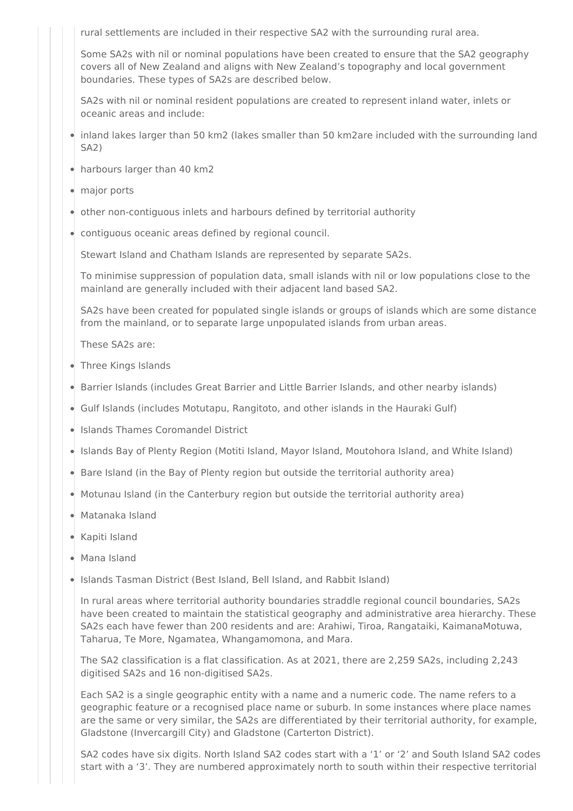rural settlements are included in their respective SA2 with the surrounding rural area.

Some SA2s with nil or nominal populations have been created to ensure that the SA2 geography covers all of New Zealand and aligns with New Zealand's topography and local government boundaries. These types of SA2s are described below.

SA2s with nil or nominal resident populations are created to represent inland water, inlets or oceanic areas and include:

- inland lakes larger than 50 km2 (lakes smaller than 50 km2are included with the surrounding land SA2)
- harbours larger than 40 km2
- major ports
- other non-contiguous inlets and harbours defined by territorial authority
- contiguous oceanic areas defined by regional council.

Stewart Island and Chatham Islands are represented by separate SA2s.

To minimise suppression of population data, small islands with nil or low populations close to the mainland are generally included with their adjacent land based SA2.

SA2s have been created for populated single islands or groups of islands which are some distance from the mainland, or to separate large unpopulated islands from urban areas.

These SA2s are:

- Three Kings Islands
- Barrier Islands (includes Great Barrier and Little Barrier Islands, and other nearby islands)
- Gulf Islands (includes Motutapu, Rangitoto, and other islands in the Hauraki Gulf)
- Islands Thames Coromandel District
- Islands Bay of Plenty Region (Motiti Island, Mayor Island, Moutohora Island, and White Island)
- Bare Island (in the Bay of Plenty region but outside the territorial authority area)
- Motunau Island (in the Canterbury region but outside the territorial authority area)
- Matanaka Island
- Kapiti Island
- Mana Island
- Islands Tasman District (Best Island, Bell Island, and Rabbit Island)

In rural areas where territorial authority boundaries straddle regional council boundaries, SA2s have been created to maintain the statistical geography and administrative area hierarchy. These SA2s each have fewer than 200 residents and are: Arahiwi, Tiroa, Rangataiki, KaimanaMotuwa, Taharua, Te More, Ngamatea, Whangamomona, and Mara.

The SA2 classification is a flat classification. As at 2021, there are 2,259 SA2s, including 2,243 digitised SA2s and 16 non-digitised SA2s.

Each SA2 is a single geographic entity with a name and a numeric code. The name refers to a geographic feature or a recognised place name or suburb. In some instances where place names are the same or very similar, the SA2s are differentiated by their territorial authority, for example, Gladstone (Invercargill City) and Gladstone (Carterton District).

SA2 codes have six digits. North Island SA2 codes start with a '1' or '2' and South Island SA2 codes start with a '3'. They are numbered approximately north to south within their respective territorial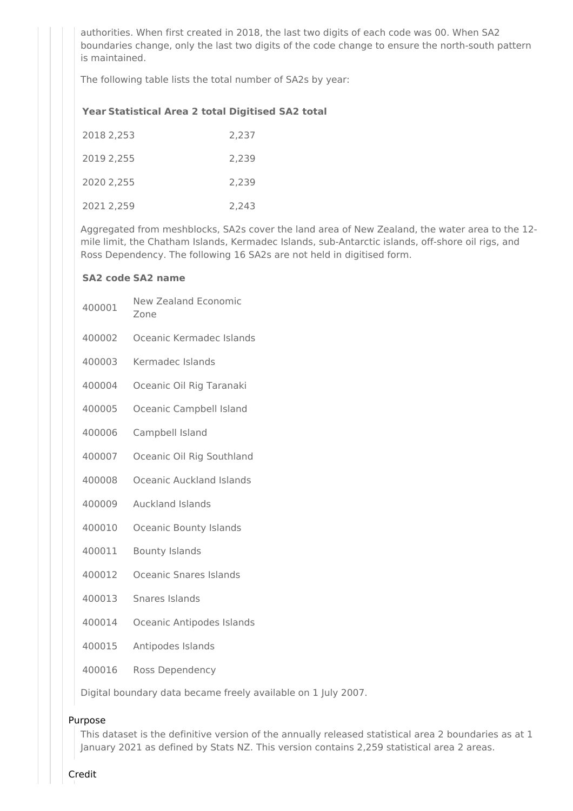authorities. When first created in 2018, the last two digits of each code was 00. When SA2 boundaries change, only the last two digits of the code change to ensure the north-south pattern is maintained.

The following table lists the total number of SA2s by year:

## **Year Statistical Area 2 total Digitised SA2 total**

| 2018 2,253 | 2,237 |
|------------|-------|
| 2019 2.255 | 2,239 |
| 2020 2.255 | 2,239 |
| 2021 2.259 | 2.243 |

Aggregated from meshblocks, SA2s cover the land area of New Zealand, the water area to the 12 mile limit, the Chatham Islands, Kermadec Islands, sub-Antarctic islands, off-shore oil rigs, and Ross Dependency. The following 16 SA2s are not held in digitised form.

#### **SA2 code SA2 name**

- 400001 New Zealand Economic
	- Zone
- 400002 Oceanic Kermadec Islands
- 400003 Kermadec Islands
- 400004 Oceanic Oil Rig Taranaki
- 400005 Oceanic Campbell Island
- 400006 Campbell Island
- 400007 Oceanic Oil Rig Southland
- 400008 Oceanic Auckland Islands
- 400009 Auckland Islands
- 400010 Oceanic Bounty Islands
- 400011 Bounty Islands
- 400012 Oceanic Snares Islands
- 400013 Snares Islands
- 400014 Oceanic Antipodes Islands
- 400015 Antipodes Islands
- 400016 Ross Dependency

Digital boundary data became freely available on 1 July 2007.

#### Purpose

This dataset is the definitive version of the annually released statistical area 2 boundaries as at 1 January 2021 as defined by Stats NZ. This version contains 2,259 statistical area 2 areas.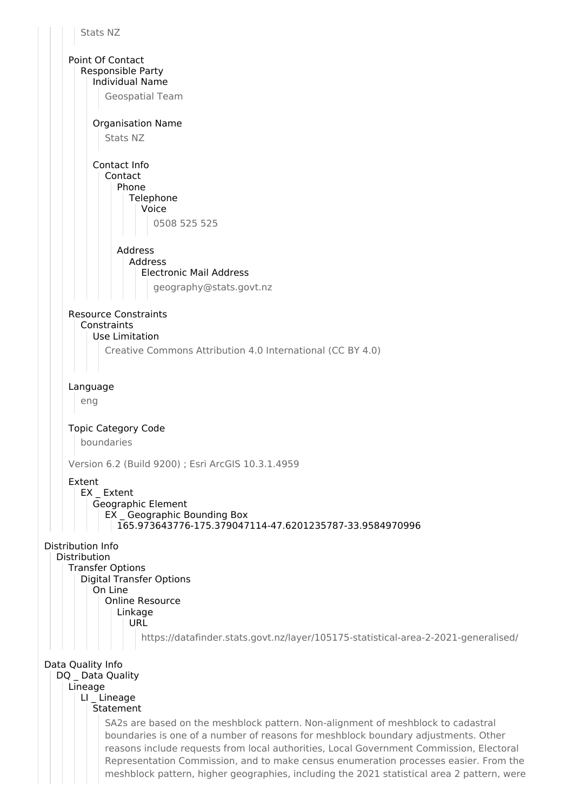